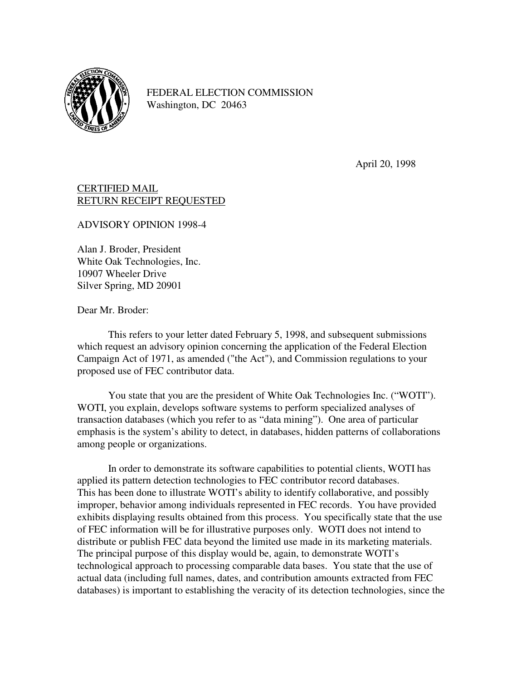

FEDERAL ELECTION COMMISSION Washington, DC 20463

April 20, 1998

## CERTIFIED MAIL RETURN RECEIPT REQUESTED

ADVISORY OPINION 1998-4

Alan J. Broder, President White Oak Technologies, Inc. 10907 Wheeler Drive Silver Spring, MD 20901

Dear Mr. Broder:

 This refers to your letter dated February 5, 1998, and subsequent submissions which request an advisory opinion concerning the application of the Federal Election Campaign Act of 1971, as amended ("the Act"), and Commission regulations to your proposed use of FEC contributor data.

 You state that you are the president of White Oak Technologies Inc. ("WOTI"). WOTI, you explain, develops software systems to perform specialized analyses of transaction databases (which you refer to as "data mining"). One area of particular emphasis is the system's ability to detect, in databases, hidden patterns of collaborations among people or organizations.

 In order to demonstrate its software capabilities to potential clients, WOTI has applied its pattern detection technologies to FEC contributor record databases. This has been done to illustrate WOTI's ability to identify collaborative, and possibly improper, behavior among individuals represented in FEC records. You have provided exhibits displaying results obtained from this process. You specifically state that the use of FEC information will be for illustrative purposes only. WOTI does not intend to distribute or publish FEC data beyond the limited use made in its marketing materials. The principal purpose of this display would be, again, to demonstrate WOTI's technological approach to processing comparable data bases. You state that the use of actual data (including full names, dates, and contribution amounts extracted from FEC databases) is important to establishing the veracity of its detection technologies, since the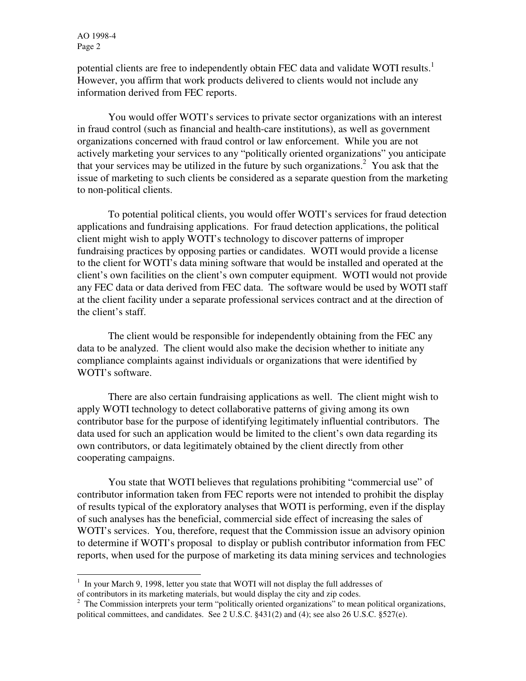AO 1998-4 Page 2

potential clients are free to independently obtain FEC data and validate WOTI results.<sup>1</sup> However, you affirm that work products delivered to clients would not include any information derived from FEC reports.

 You would offer WOTI's services to private sector organizations with an interest in fraud control (such as financial and health-care institutions), as well as government organizations concerned with fraud control or law enforcement. While you are not actively marketing your services to any "politically oriented organizations" you anticipate that your services may be utilized in the future by such organizations.<sup>2</sup> You ask that the issue of marketing to such clients be considered as a separate question from the marketing to non-political clients.

 To potential political clients, you would offer WOTI's services for fraud detection applications and fundraising applications. For fraud detection applications, the political client might wish to apply WOTI's technology to discover patterns of improper fundraising practices by opposing parties or candidates. WOTI would provide a license to the client for WOTI's data mining software that would be installed and operated at the client's own facilities on the client's own computer equipment. WOTI would not provide any FEC data or data derived from FEC data. The software would be used by WOTI staff at the client facility under a separate professional services contract and at the direction of the client's staff.

 The client would be responsible for independently obtaining from the FEC any data to be analyzed. The client would also make the decision whether to initiate any compliance complaints against individuals or organizations that were identified by WOTI's software.

 There are also certain fundraising applications as well. The client might wish to apply WOTI technology to detect collaborative patterns of giving among its own contributor base for the purpose of identifying legitimately influential contributors. The data used for such an application would be limited to the client's own data regarding its own contributors, or data legitimately obtained by the client directly from other cooperating campaigns.

 You state that WOTI believes that regulations prohibiting "commercial use" of contributor information taken from FEC reports were not intended to prohibit the display of results typical of the exploratory analyses that WOTI is performing, even if the display of such analyses has the beneficial, commercial side effect of increasing the sales of WOTI's services. You, therefore, request that the Commission issue an advisory opinion to determine if WOTI's proposal to display or publish contributor information from FEC reports, when used for the purpose of marketing its data mining services and technologies

<sup>&</sup>lt;sup>1</sup> In your March 9, 1998, letter you state that WOTI will not display the full addresses of of contributors in its marketing materials, but would display the city and zip codes.

<sup>&</sup>lt;sup>2</sup> The Commission interprets your term "politically oriented organizations" to mean political organizations, political committees, and candidates. See 2 U.S.C. §431(2) and (4); see also 26 U.S.C. §527(e).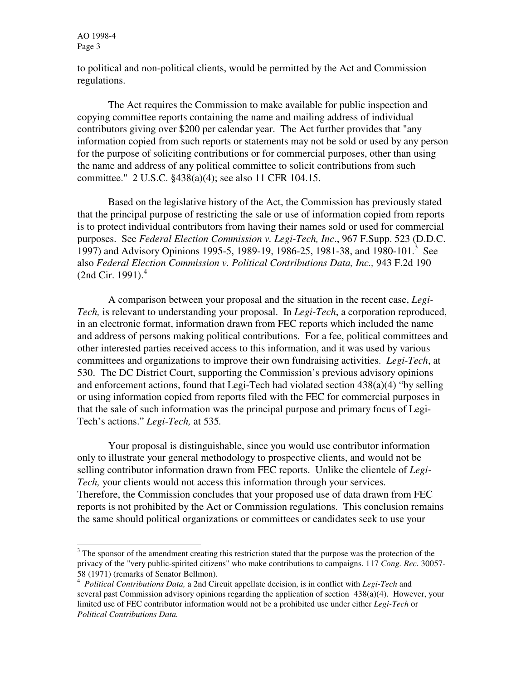AO 1998-4 Page 3

-

to political and non-political clients, would be permitted by the Act and Commission regulations.

 The Act requires the Commission to make available for public inspection and copying committee reports containing the name and mailing address of individual contributors giving over \$200 per calendar year. The Act further provides that "any information copied from such reports or statements may not be sold or used by any person for the purpose of soliciting contributions or for commercial purposes, other than using the name and address of any political committee to solicit contributions from such committee." 2 U.S.C. §438(a)(4); see also 11 CFR 104.15.

 Based on the legislative history of the Act, the Commission has previously stated that the principal purpose of restricting the sale or use of information copied from reports is to protect individual contributors from having their names sold or used for commercial purposes. See *Federal Election Commission v. Legi-Tech, Inc*., 967 F.Supp. 523 (D.D.C. 1997) and Advisory Opinions 1995-5, 1989-19, 1986-25, 1981-38, and 1980-101.<sup>3</sup> See also *Federal Election Commission v. Political Contributions Data, Inc.,* 943 F.2d 190  $(2nd Cir. 1991).<sup>4</sup>$ 

 A comparison between your proposal and the situation in the recent case, *Legi-Tech,* is relevant to understanding your proposal. In *Legi-Tech*, a corporation reproduced, in an electronic format, information drawn from FEC reports which included the name and address of persons making political contributions. For a fee, political committees and other interested parties received access to this information, and it was used by various committees and organizations to improve their own fundraising activities. *Legi-Tech*, at 530. The DC District Court, supporting the Commission's previous advisory opinions and enforcement actions, found that Legi-Tech had violated section  $438(a)(4)$  "by selling or using information copied from reports filed with the FEC for commercial purposes in that the sale of such information was the principal purpose and primary focus of Legi-Tech's actions." *Legi-Tech,* at 535*.*

 Your proposal is distinguishable, since you would use contributor information only to illustrate your general methodology to prospective clients, and would not be selling contributor information drawn from FEC reports. Unlike the clientele of *Legi-Tech,* your clients would not access this information through your services. Therefore, the Commission concludes that your proposed use of data drawn from FEC reports is not prohibited by the Act or Commission regulations. This conclusion remains the same should political organizations or committees or candidates seek to use your

 $3$  The sponsor of the amendment creating this restriction stated that the purpose was the protection of the privacy of the "very public-spirited citizens" who make contributions to campaigns. 117 *Cong. Rec.* 30057- 58 (1971) (remarks of Senator Bellmon).

<sup>4</sup> *Political Contributions Data,* a 2nd Circuit appellate decision, is in conflict with *Legi-Tech* and several past Commission advisory opinions regarding the application of section 438(a)(4). However, your limited use of FEC contributor information would not be a prohibited use under either *Legi-Tech* or *Political Contributions Data.*